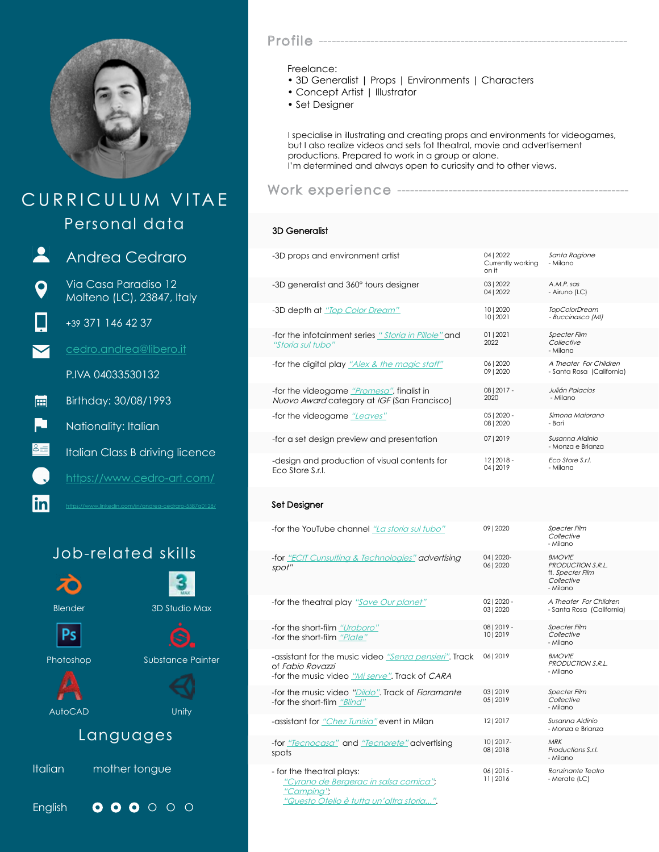

# CURRICULUM VITAE Work experience --Personal data

 $\mathbf{R}$ O

lin

Andrea Cedraro

Via Casa Paradiso 12 Molteno (LC), 23847, Italy

+39 371 146 42 37

cedro.andrea@libero.it

P.IVA 04033530132

Birthday: 30/08/1993 圃

L. Nationality: Italian

Italian Class B driving licence

https://www.cedro-art.com/

https://www.linkedin.com/in/andrea-cedraro-5587a0128/

# Job-related skills



### Profile -

#### Freelance:

- 3D Generalist | Props | Environments | Characters
- Concept Artist | Illustrator
- Set Designer

I specialise in illustrating and creating props and environments for videogames, but I also realize videos and sets fot theatral, movie and advertisement productions. Prepared to work in a group or alone. I'm determined and always open to curiosity and to other views.

### 3D Generalist

| -3D props and environment artist                                                         | 04   2022<br>Currently working<br>on it | Santa Ragione<br>- Milano                           |
|------------------------------------------------------------------------------------------|-----------------------------------------|-----------------------------------------------------|
| -3D generalist and 360° tours designer                                                   | 03   2022<br>04   2022                  | $A.M.P.$ sas<br>- Airuno (LC)                       |
| -3D depth at "Top Color Dream"                                                           | 10   2020<br>10   2021                  | <b>TopColorDream</b><br>- Buccinasco (MI)           |
| -for the infotainment series "Storia in Pillole" and<br>"Storia sul tubo"                | 01   2021<br>2022                       | <b>Specter Film</b><br>Collective<br>- Milano       |
| -for the digital play "Alex & the magic staff"                                           | 0612020<br>09   2020                    | A Theater For Children<br>- Santa Rosa (California) |
| -for the videogame "Promesa", finalist in<br>Nuovo Award category at IGF (San Francisco) | $08 2017 -$<br>2020                     | Julián Palacios<br>- Milano                         |
| -for the videogame "Leaves"                                                              | $05 2020 -$<br>08   2020                | Simona Majorano<br>- Bari                           |
| -for a set design preview and presentation                                               | 07   2019                               | Susanna Aldinio<br>- Monza e Brianza                |
| -design and production of visual contents for<br>Eco Store S.r.I.                        | $12 2018 -$<br>04   2019                | <b>Fco Store S.r.I.</b><br>- Milano                 |
|                                                                                          |                                         |                                                     |

#### Set Designer

| -for the YouTube channel "La storia sul tubo"                                                                                | 0912020                    | <b>Specter Film</b><br>Collective<br>- Milano                                    |
|------------------------------------------------------------------------------------------------------------------------------|----------------------------|----------------------------------------------------------------------------------|
| -for "ECIT Cunsulting & Technologies" advertising<br>spot"                                                                   | 04   2020-<br>0612020      | <b>BMOVIE</b><br>PRODUCTION S.R.I.<br>ft. Specter Film<br>Collective<br>- Milano |
| -for the theatral play "Save Our planet"                                                                                     | $0212020 -$<br>0312020     | A Theater For Children<br>- Santa Rosa (California)                              |
| -for the short-film "Uroboro"<br>-for the short-film "Plate"                                                                 | 08   2019 -<br>10   2019   | <b>Specter Film</b><br>Collective<br>- Milano                                    |
| -assistant for the music video "Senza pensieri". Track<br>of Fabio Rovazzi<br>-for the music video "Mi serve". Track of CARA | 06   2019                  | <b>BMOVIF</b><br>PRODUCTION S.R.I.<br>- Milano                                   |
| -for the music video "Dildo". Track of Fioramante<br>-for the short-film "Blind"                                             | 03   2019<br>05   2019     | <b>Specter Film</b><br>Collective<br>- Milano                                    |
| -assistant for "Chez Tunisia" event in Milan                                                                                 | 1212017                    | Susanna Aldinio<br>- Monza e Brianza                                             |
| -for "Tecnocasa" and "Tecnorete" advertising<br>spots                                                                        | 1012017-<br>08   2018      | <b>MRK</b><br>Productions S.r.I.<br>- Milano                                     |
| - for the theatral plays:<br>"Cyrano de Bergerac in salsa comica";<br>"Camping",                                             | $06   2015 -$<br>11   2016 | Ronzinante Teatro<br>- Merate (LC)                                               |

"Questo Otello è tutta un'altra storia...".